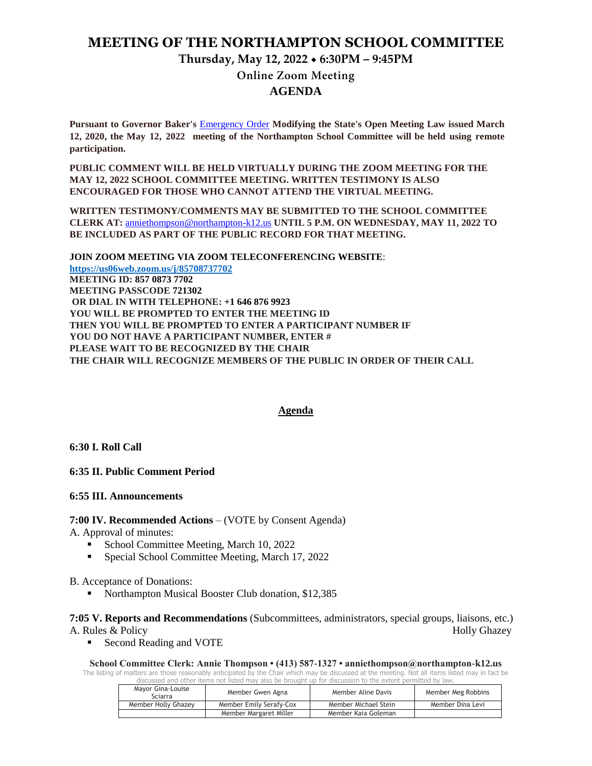## **MEETING OF THE NORTHAMPTON SCHOOL COMMITTEE**

# **Thursday, May 12, 2022 6:30PM – 9:45PM**

**Online Zoom Meeting** 

## **AGENDA**

**Pursuant to Governor Baker's** [Emergency Order](about:blank) **Modifying the State's Open Meeting Law issued March 12, 2020, the May 12, 2022 meeting of the Northampton School Committee will be held using remote participation.**

**PUBLIC COMMENT WILL BE HELD VIRTUALLY DURING THE ZOOM MEETING FOR THE MAY 12, 2022 SCHOOL COMMITTEE MEETING. WRITTEN TESTIMONY IS ALSO ENCOURAGED FOR THOSE WHO CANNOT ATTEND THE VIRTUAL MEETING.**

**WRITTEN TESTIMONY/COMMENTS MAY BE SUBMITTED TO THE SCHOOL COMMITTEE CLERK AT:** [anniethompson@northampton-k12.us](about:blank) **UNTIL 5 P.M. ON WEDNESDAY, MAY 11, 2022 TO BE INCLUDED AS PART OF THE PUBLIC RECORD FOR THAT MEETING.**

**JOIN ZOOM MEETING VIA ZOOM TELECONFERENCING WEBSITE**: **<https://us06web.zoom.us/j/85708737702> MEETING ID: 857 0873 7702 MEETING PASSCODE 721302 OR DIAL IN WITH TELEPHONE: +1 646 876 9923 YOU WILL BE PROMPTED TO ENTER THE MEETING ID THEN YOU WILL BE PROMPTED TO ENTER A PARTICIPANT NUMBER IF YOU DO NOT HAVE A PARTICIPANT NUMBER, ENTER # PLEASE WAIT TO BE RECOGNIZED BY THE CHAIR THE CHAIR WILL RECOGNIZE MEMBERS OF THE PUBLIC IN ORDER OF THEIR CALL**

### **Agenda**

**6:30 I. Roll Call** 

**6:35 II. Public Comment Period** 

### **6:55 III. Announcements**

### **7:00 IV. Recommended Actions** – (VOTE by Consent Agenda)

A. Approval of minutes:

- School Committee Meeting, March 10, 2022
- Special School Committee Meeting, March 17, 2022

### B. Acceptance of Donations:

Northampton Musical Booster Club donation, \$12,385

**7:05 V. Reports and Recommendations** (Subcommittees, administrators, special groups, liaisons, etc.) A. Rules & Policy Holly Ghazey

Second Reading and VOTE

**School Committee Clerk: Annie Thompson • (413) 587-1327 • anniethompson@northampton-k12.us**

The listing of matters are those reasonably anticipated by the Chair which may be discussed at the meeting. Not all items listed may in fact be discussed and other items not listed may also be brought up for discussion to the extent permitted by law.

| Mavor Gina-Louise<br>Sciarra | Member Gwen Agna        | Member Aline Davis   | Member Meg Robbins |
|------------------------------|-------------------------|----------------------|--------------------|
| Member Holly Ghazey          | Member Emily Serafy-Cox | Member Michael Stein | Member Dina Levi   |
|                              | Member Margaret Miller  | Member Kaia Goleman  |                    |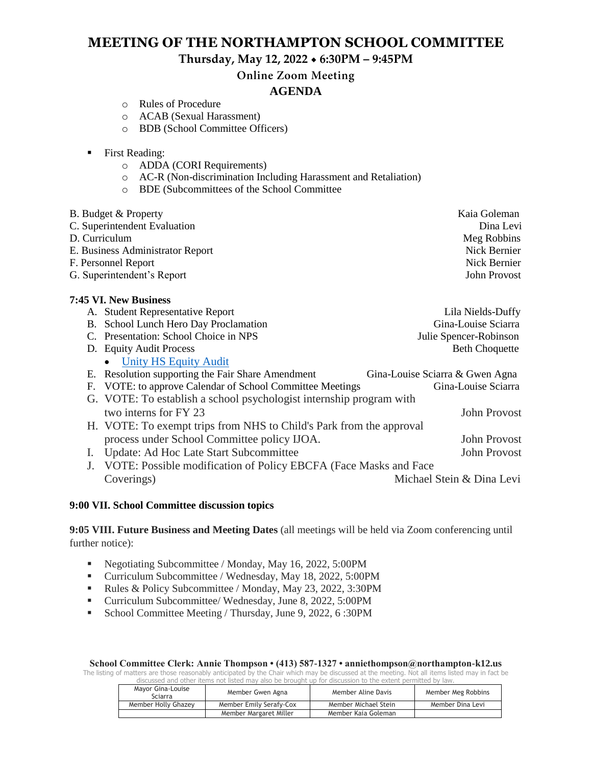# **MEETING OF THE NORTHAMPTON SCHOOL COMMITTEE**

**Thursday, May 12, 2022 6:30PM – 9:45PM**

**Online Zoom Meeting** 

# **AGENDA**

- o Rules of Procedure
- o ACAB (Sexual Harassment)
- o BDB (School Committee Officers)

|  | First Reading: |
|--|----------------|
|--|----------------|

- o ADDA (CORI Requirements)
- o AC-R (Non-discrimination Including Harassment and Retaliation)
- o BDE (Subcommittees of the School Committee

|               | BDE (Subcommittees of the School Committee<br>$\circ$               |                                 |
|---------------|---------------------------------------------------------------------|---------------------------------|
|               | B. Budget & Property                                                | Kaia Goleman                    |
|               | C. Superintendent Evaluation                                        | Dina Levi                       |
| D. Curriculum |                                                                     | Meg Robbins                     |
|               | E. Business Administrator Report                                    | Nick Bernier                    |
|               | F. Personnel Report                                                 | Nick Bernier                    |
|               | G. Superintendent's Report                                          | John Provost                    |
|               | 7:45 VI. New Business                                               |                                 |
|               | A. Student Representative Report                                    | Lila Nields-Duffy               |
| <b>B.</b>     | School Lunch Hero Day Proclamation                                  | Gina-Louise Sciarra             |
|               | C. Presentation: School Choice in NPS                               | Julie Spencer-Robinson          |
|               | D. Equity Audit Process                                             | <b>Beth Choquette</b>           |
|               | <b>Unity HS Equity Audit</b>                                        |                                 |
|               | E. Resolution supporting the Fair Share Amendment                   | Gina-Louise Sciarra & Gwen Agna |
| F.            | VOTE: to approve Calendar of School Committee Meetings              | Gina-Louise Sciarra             |
| G.            | VOTE: To establish a school psychologist internship program with    |                                 |
|               | two interns for FY 23                                               | John Provost                    |
|               | H. VOTE: To exempt trips from NHS to Child's Park from the approval |                                 |
|               | process under School Committee policy IJOA.                         | John Provost                    |
| I.            | Update: Ad Hoc Late Start Subcommittee                              | <b>John Provost</b>             |
|               |                                                                     |                                 |
| J.            | VOTE: Possible modification of Policy EBCFA (Face Masks and Face)   |                                 |
|               | Coverings)                                                          | Michael Stein & Dina Levi       |

### **9:00 VII. School Committee discussion topics**

**9:05 VIII. Future Business and Meeting Dates** (all meetings will be held via Zoom conferencing until further notice):

- Negotiating Subcommittee / Monday, May 16, 2022, 5:00PM
- Curriculum Subcommittee / Wednesday, May 18, 2022, 5:00PM
- Rules & Policy Subcommittee / Monday, May 23, 2022, 3:30PM
- Curriculum Subcommittee/ Wednesday, June 8, 2022, 5:00PM
- School Committee Meeting / Thursday, June 9, 2022, 6 :30PM

The listing of matters are those reasonably anticipated by the Chair which may be discussed at the meeting. Not all items listed may in fact be discussed and other items not listed may also be brought up for discussion to the extent permitted by law.

| Mayor Gina-Louise<br>Sciarra | Member Gwen Agna        | Member Aline Davis   | Member Meg Robbins |
|------------------------------|-------------------------|----------------------|--------------------|
| Member Holly Ghazey          | Member Emily Serafy-Cox | Member Michael Stein | Member Dina Levi   |
|                              | Member Margaret Miller  | Member Kaia Goleman  |                    |